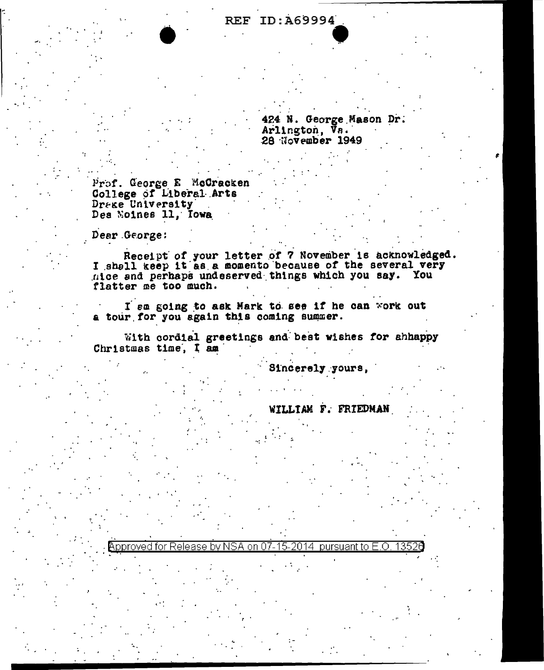## **REF ID: A69994**

424 N. George Mason Dr. Arlington, Va. 28 November 1949

Prof. George E McGracken College of Liberal Arts Dreke University Des Noines 11, Iowa

Dear George:

Receipt of your letter of 7 November is acknowledged.<br>I shall keep it as a momento because of the several very nice and perhaps undeserved things which you say. You flatter me too much.

I sa going to ask Mark to see if he can work out a tour for you again this coming summer.

With cordial greetings and best wishes for ahhappy Christmas time, I am

 $\beta$  Approved for Release by NSA on 07-15-2014 pursuant to E.O.

Sincerely yours,

WILLIAM F. FRIEDMAN

13526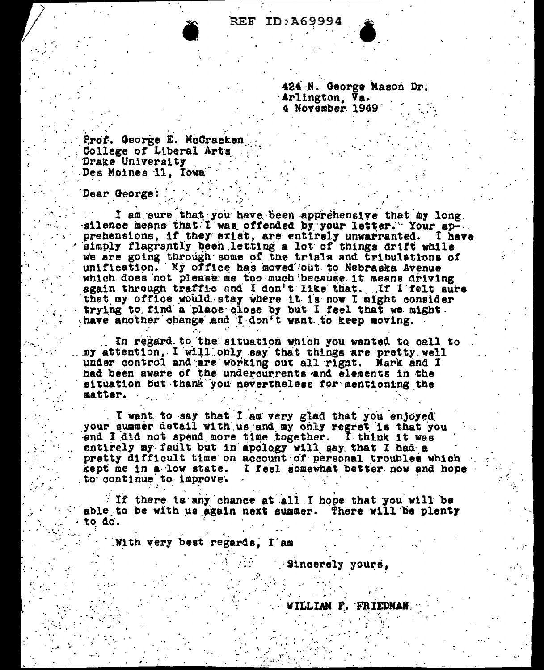424 N. George Mason Dr. Arlington, Va.<br>4 November 1949

Prof. George E. McCracken College of Liberal Arts Drake University Des Moines 11, Towa

Dear George:

I am sure that you have been apprehensive that my long.<br>silence means that I was offended by your letter. Your ap-.. prehensions, if they exist, are entirely unwarranted. I have simply flagrantly been letting a lot of things drift while we are going through some of the trials and tribulations of unification. My office has moved out to Nebraska Avenue which does not please me too much because it means driving again through traffic and I don't like that. If I felt sure that my office would stay where it is now I might consider trying to find a place close by but I feel that we might. have another change and I don't want to keep moving.

In regard to the situation which you wanted to call to my attention, I will only say that things are pretty well under control and are working out all right. Mark and I had been aware of the undercurrents and elements in the situation but thank you nevertheless for mentioning the matter.

I want to say that I am very glad that you enjoyed your summer detail with us and my only regret is that you and I did not spend more time together. I think it was entirely my fault but in apology will say that I had a pretty difficult time on account of personal troubles which kept me in a low state. I feel somewhat better now and hope to continue to improve.

If there is any chance at all I hope that you will be able to be with us again next summer. There will be plenty to do.

With very best regards. I am

Sincerely yours,

WILLIAM F. FRIEDMAN